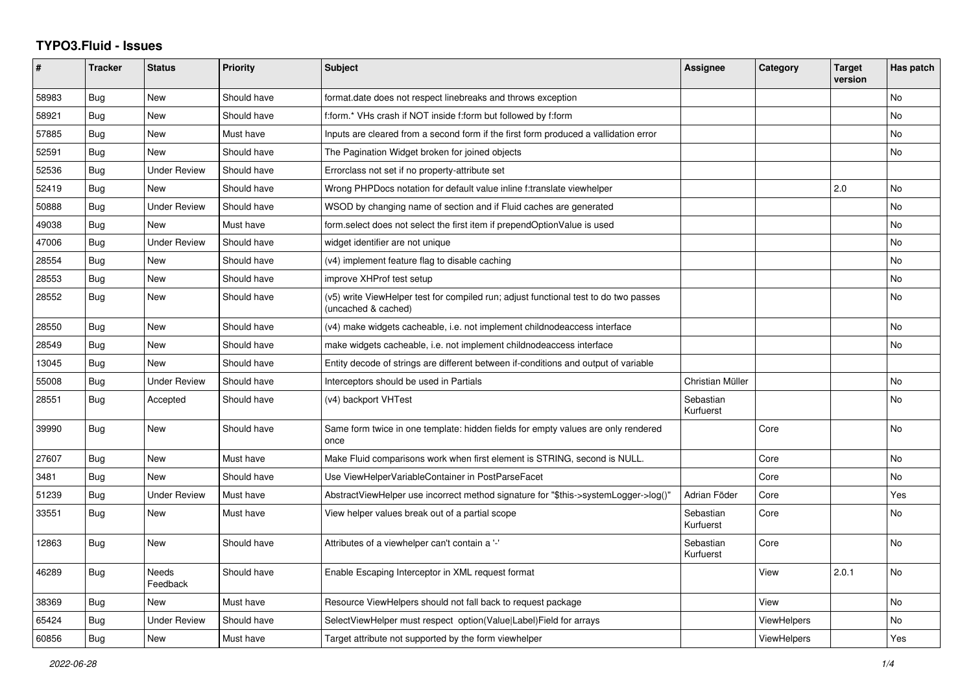## **TYPO3.Fluid - Issues**

| #     | <b>Tracker</b> | <b>Status</b>       | <b>Priority</b> | <b>Subject</b>                                                                                              | Assignee               | Category    | <b>Target</b><br>version | Has patch |
|-------|----------------|---------------------|-----------------|-------------------------------------------------------------------------------------------------------------|------------------------|-------------|--------------------------|-----------|
| 58983 | <b>Bug</b>     | <b>New</b>          | Should have     | format.date does not respect linebreaks and throws exception                                                |                        |             |                          | <b>No</b> |
| 58921 | <b>Bug</b>     | New                 | Should have     | f:form.* VHs crash if NOT inside f:form but followed by f:form                                              |                        |             |                          | <b>No</b> |
| 57885 | Bug            | New                 | Must have       | Inputs are cleared from a second form if the first form produced a vallidation error                        |                        |             |                          | No        |
| 52591 | <b>Bug</b>     | New                 | Should have     | The Pagination Widget broken for joined objects                                                             |                        |             |                          | <b>No</b> |
| 52536 | <b>Bug</b>     | <b>Under Review</b> | Should have     | Errorclass not set if no property-attribute set                                                             |                        |             |                          |           |
| 52419 | Bug            | <b>New</b>          | Should have     | Wrong PHPDocs notation for default value inline f:translate viewhelper                                      |                        |             | 2.0                      | No        |
| 50888 | <b>Bug</b>     | <b>Under Review</b> | Should have     | WSOD by changing name of section and if Fluid caches are generated                                          |                        |             |                          | <b>No</b> |
| 49038 | Bug            | <b>New</b>          | Must have       | form.select does not select the first item if prependOptionValue is used                                    |                        |             |                          | <b>No</b> |
| 47006 | Bug            | Under Review        | Should have     | widget identifier are not unique                                                                            |                        |             |                          | No        |
| 28554 | <b>Bug</b>     | New                 | Should have     | (v4) implement feature flag to disable caching                                                              |                        |             |                          | <b>No</b> |
| 28553 | Bug            | New                 | Should have     | improve XHProf test setup                                                                                   |                        |             |                          | <b>No</b> |
| 28552 | Bug            | New                 | Should have     | (v5) write ViewHelper test for compiled run; adjust functional test to do two passes<br>(uncached & cached) |                        |             |                          | No        |
| 28550 | Bug            | New                 | Should have     | (v4) make widgets cacheable, i.e. not implement childnodeaccess interface                                   |                        |             |                          | No        |
| 28549 | <b>Bug</b>     | New                 | Should have     | make widgets cacheable, i.e. not implement childnodeaccess interface                                        |                        |             |                          | <b>No</b> |
| 13045 | Bug            | New                 | Should have     | Entity decode of strings are different between if-conditions and output of variable                         |                        |             |                          |           |
| 55008 | Bug            | Under Review        | Should have     | Interceptors should be used in Partials                                                                     | Christian Müller       |             |                          | No        |
| 28551 | Bug            | Accepted            | Should have     | (v4) backport VHTest                                                                                        | Sebastian<br>Kurfuerst |             |                          | <b>No</b> |
| 39990 | <b>Bug</b>     | New                 | Should have     | Same form twice in one template: hidden fields for empty values are only rendered<br>once                   |                        | Core        |                          | <b>No</b> |
| 27607 | <b>Bug</b>     | <b>New</b>          | Must have       | Make Fluid comparisons work when first element is STRING, second is NULL.                                   |                        | Core        |                          | <b>No</b> |
| 3481  | Bug            | New                 | Should have     | Use ViewHelperVariableContainer in PostParseFacet                                                           |                        | Core        |                          | No        |
| 51239 | <b>Bug</b>     | <b>Under Review</b> | Must have       | AbstractViewHelper use incorrect method signature for "\$this->systemLogger->log()"                         | Adrian Föder           | Core        |                          | Yes       |
| 33551 | Bug            | <b>New</b>          | Must have       | View helper values break out of a partial scope                                                             | Sebastian<br>Kurfuerst | Core        |                          | <b>No</b> |
| 12863 | Bug            | New                 | Should have     | Attributes of a viewhelper can't contain a '-'                                                              | Sebastian<br>Kurfuerst | Core        |                          | No        |
| 46289 | <b>Bug</b>     | Needs<br>Feedback   | Should have     | Enable Escaping Interceptor in XML request format                                                           |                        | View        | 2.0.1                    | <b>No</b> |
| 38369 | <b>Bug</b>     | New                 | Must have       | Resource ViewHelpers should not fall back to request package                                                |                        | View        |                          | No        |
| 65424 | Bug            | <b>Under Review</b> | Should have     | SelectViewHelper must respect option(Value Label)Field for arrays                                           |                        | ViewHelpers |                          | <b>No</b> |
| 60856 | Bug            | New                 | Must have       | Target attribute not supported by the form viewhelper                                                       |                        | ViewHelpers |                          | Yes       |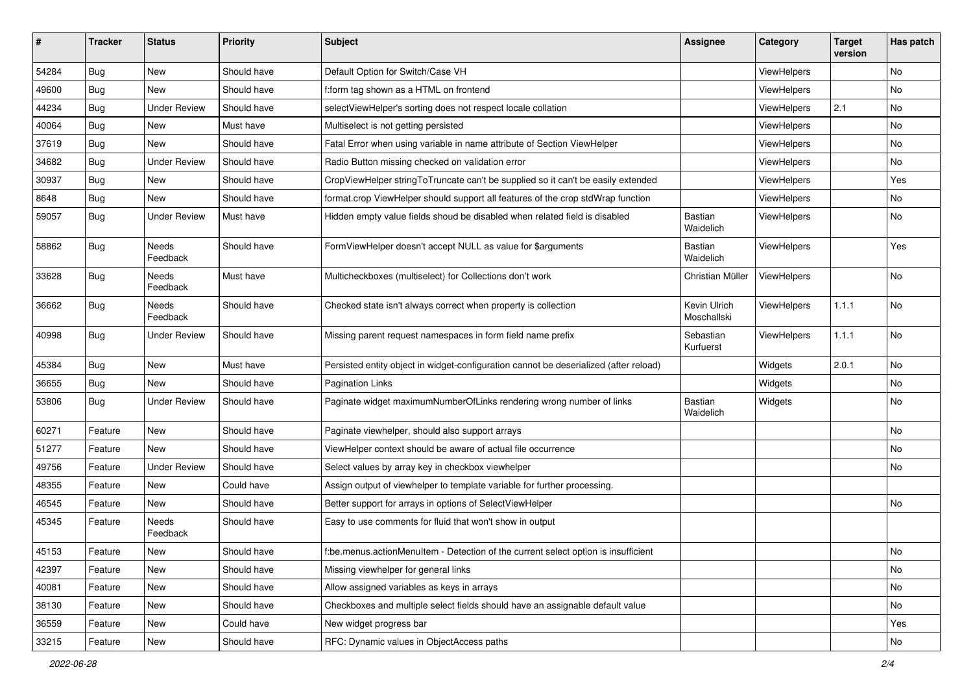| #     | <b>Tracker</b> | <b>Status</b>       | <b>Priority</b> | Subject                                                                               | <b>Assignee</b>             | Category           | <b>Target</b><br>version | Has patch |
|-------|----------------|---------------------|-----------------|---------------------------------------------------------------------------------------|-----------------------------|--------------------|--------------------------|-----------|
| 54284 | Bug            | New                 | Should have     | Default Option for Switch/Case VH                                                     |                             | ViewHelpers        |                          | No        |
| 49600 | Bug            | New                 | Should have     | f:form tag shown as a HTML on frontend                                                |                             | ViewHelpers        |                          | No        |
| 44234 | Bug            | <b>Under Review</b> | Should have     | selectViewHelper's sorting does not respect locale collation                          |                             | ViewHelpers        | 2.1                      | No        |
| 40064 | Bug            | New                 | Must have       | Multiselect is not getting persisted                                                  |                             | ViewHelpers        |                          | No        |
| 37619 | Bug            | New                 | Should have     | Fatal Error when using variable in name attribute of Section ViewHelper               |                             | ViewHelpers        |                          | No        |
| 34682 | Bug            | <b>Under Review</b> | Should have     | Radio Button missing checked on validation error                                      |                             | ViewHelpers        |                          | No        |
| 30937 | Bug            | New                 | Should have     | CropViewHelper stringToTruncate can't be supplied so it can't be easily extended      |                             | ViewHelpers        |                          | Yes       |
| 8648  | Bug            | New                 | Should have     | format.crop ViewHelper should support all features of the crop stdWrap function       |                             | <b>ViewHelpers</b> |                          | No        |
| 59057 | Bug            | <b>Under Review</b> | Must have       | Hidden empty value fields shoud be disabled when related field is disabled            | Bastian<br>Waidelich        | ViewHelpers        |                          | No        |
| 58862 | Bug            | Needs<br>Feedback   | Should have     | FormViewHelper doesn't accept NULL as value for \$arguments                           | Bastian<br>Waidelich        | ViewHelpers        |                          | Yes       |
| 33628 | Bug            | Needs<br>Feedback   | Must have       | Multicheckboxes (multiselect) for Collections don't work                              | Christian Müller            | ViewHelpers        |                          | No        |
| 36662 | Bug            | Needs<br>Feedback   | Should have     | Checked state isn't always correct when property is collection                        | Kevin Ulrich<br>Moschallski | ViewHelpers        | 1.1.1                    | No        |
| 40998 | Bug            | Under Review        | Should have     | Missing parent request namespaces in form field name prefix                           | Sebastian<br>Kurfuerst      | ViewHelpers        | 1.1.1                    | No        |
| 45384 | <b>Bug</b>     | New                 | Must have       | Persisted entity object in widget-configuration cannot be deserialized (after reload) |                             | Widgets            | 2.0.1                    | No        |
| 36655 | <b>Bug</b>     | New                 | Should have     | <b>Pagination Links</b>                                                               |                             | Widgets            |                          | No        |
| 53806 | <b>Bug</b>     | <b>Under Review</b> | Should have     | Paginate widget maximumNumberOfLinks rendering wrong number of links                  | Bastian<br>Waidelich        | Widgets            |                          | No        |
| 60271 | Feature        | New                 | Should have     | Paginate viewhelper, should also support arrays                                       |                             |                    |                          | No        |
| 51277 | Feature        | New                 | Should have     | ViewHelper context should be aware of actual file occurrence                          |                             |                    |                          | No        |
| 49756 | Feature        | <b>Under Review</b> | Should have     | Select values by array key in checkbox viewhelper                                     |                             |                    |                          | No        |
| 48355 | Feature        | New                 | Could have      | Assign output of viewhelper to template variable for further processing.              |                             |                    |                          |           |
| 46545 | Feature        | New                 | Should have     | Better support for arrays in options of SelectViewHelper                              |                             |                    |                          | No        |
| 45345 | Feature        | Needs<br>Feedback   | Should have     | Easy to use comments for fluid that won't show in output                              |                             |                    |                          |           |
| 45153 | Feature        | New                 | Should have     | f:be.menus.actionMenuItem - Detection of the current select option is insufficient    |                             |                    |                          | No        |
| 42397 | Feature        | New                 | Should have     | Missing viewhelper for general links                                                  |                             |                    |                          | No        |
| 40081 | Feature        | New                 | Should have     | Allow assigned variables as keys in arrays                                            |                             |                    |                          | No        |
| 38130 | Feature        | New                 | Should have     | Checkboxes and multiple select fields should have an assignable default value         |                             |                    |                          | No        |
| 36559 | Feature        | New                 | Could have      | New widget progress bar                                                               |                             |                    |                          | Yes       |
| 33215 | Feature        | New                 | Should have     | RFC: Dynamic values in ObjectAccess paths                                             |                             |                    |                          | No        |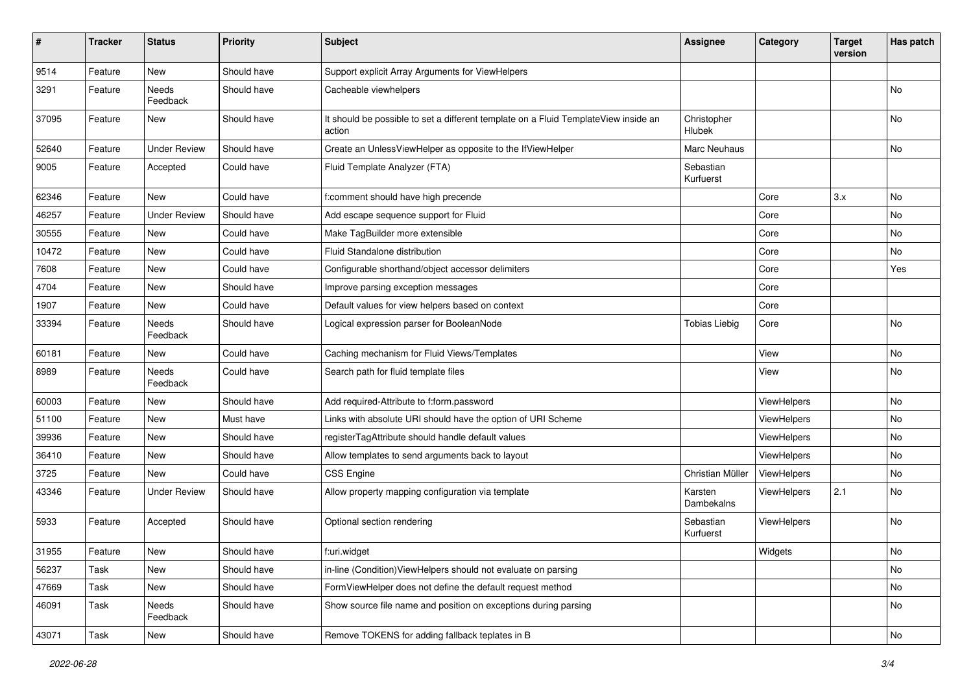| $\sharp$ | <b>Tracker</b> | <b>Status</b>       | <b>Priority</b> | <b>Subject</b>                                                                                | Assignee               | Category           | <b>Target</b><br>version | Has patch     |
|----------|----------------|---------------------|-----------------|-----------------------------------------------------------------------------------------------|------------------------|--------------------|--------------------------|---------------|
| 9514     | Feature        | New                 | Should have     | Support explicit Array Arguments for ViewHelpers                                              |                        |                    |                          |               |
| 3291     | Feature        | Needs<br>Feedback   | Should have     | Cacheable viewhelpers                                                                         |                        |                    |                          | No            |
| 37095    | Feature        | New                 | Should have     | It should be possible to set a different template on a Fluid TemplateView inside an<br>action | Christopher<br>Hlubek  |                    |                          | No            |
| 52640    | Feature        | <b>Under Review</b> | Should have     | Create an UnlessViewHelper as opposite to the IfViewHelper                                    | Marc Neuhaus           |                    |                          | No            |
| 9005     | Feature        | Accepted            | Could have      | Fluid Template Analyzer (FTA)                                                                 | Sebastian<br>Kurfuerst |                    |                          |               |
| 62346    | Feature        | New                 | Could have      | f:comment should have high precende                                                           |                        | Core               | 3.x                      | No            |
| 46257    | Feature        | <b>Under Review</b> | Should have     | Add escape sequence support for Fluid                                                         |                        | Core               |                          | No            |
| 30555    | Feature        | New                 | Could have      | Make TagBuilder more extensible                                                               |                        | Core               |                          | No            |
| 10472    | Feature        | New                 | Could have      | Fluid Standalone distribution                                                                 |                        | Core               |                          | No            |
| 7608     | Feature        | New                 | Could have      | Configurable shorthand/object accessor delimiters                                             |                        | Core               |                          | Yes           |
| 4704     | Feature        | <b>New</b>          | Should have     | Improve parsing exception messages                                                            |                        | Core               |                          |               |
| 1907     | Feature        | New                 | Could have      | Default values for view helpers based on context                                              |                        | Core               |                          |               |
| 33394    | Feature        | Needs<br>Feedback   | Should have     | Logical expression parser for BooleanNode                                                     | <b>Tobias Liebig</b>   | Core               |                          | No            |
| 60181    | Feature        | <b>New</b>          | Could have      | Caching mechanism for Fluid Views/Templates                                                   |                        | View               |                          | No            |
| 8989     | Feature        | Needs<br>Feedback   | Could have      | Search path for fluid template files                                                          |                        | View               |                          | No            |
| 60003    | Feature        | New                 | Should have     | Add required-Attribute to f:form.password                                                     |                        | ViewHelpers        |                          | No            |
| 51100    | Feature        | New                 | Must have       | Links with absolute URI should have the option of URI Scheme                                  |                        | ViewHelpers        |                          | <b>No</b>     |
| 39936    | Feature        | New                 | Should have     | registerTagAttribute should handle default values                                             |                        | ViewHelpers        |                          | No            |
| 36410    | Feature        | New                 | Should have     | Allow templates to send arguments back to layout                                              |                        | ViewHelpers        |                          | No            |
| 3725     | Feature        | New                 | Could have      | CSS Engine                                                                                    | Christian Müller       | ViewHelpers        |                          | No            |
| 43346    | Feature        | <b>Under Review</b> | Should have     | Allow property mapping configuration via template                                             | Karsten<br>Dambekalns  | <b>ViewHelpers</b> | 2.1                      | No            |
| 5933     | Feature        | Accepted            | Should have     | Optional section rendering                                                                    | Sebastian<br>Kurfuerst | ViewHelpers        |                          | <b>No</b>     |
| 31955    | Feature        | New                 | Should have     | f:uri.widget                                                                                  |                        | Widgets            |                          | $\mathsf{No}$ |
| 56237    | Task           | New                 | Should have     | in-line (Condition) ViewHelpers should not evaluate on parsing                                |                        |                    |                          | No            |
| 47669    | Task           | New                 | Should have     | FormViewHelper does not define the default request method                                     |                        |                    |                          | No            |
| 46091    | Task           | Needs<br>Feedback   | Should have     | Show source file name and position on exceptions during parsing                               |                        |                    |                          | No            |
| 43071    | Task           | New                 | Should have     | Remove TOKENS for adding fallback teplates in B                                               |                        |                    |                          | No            |